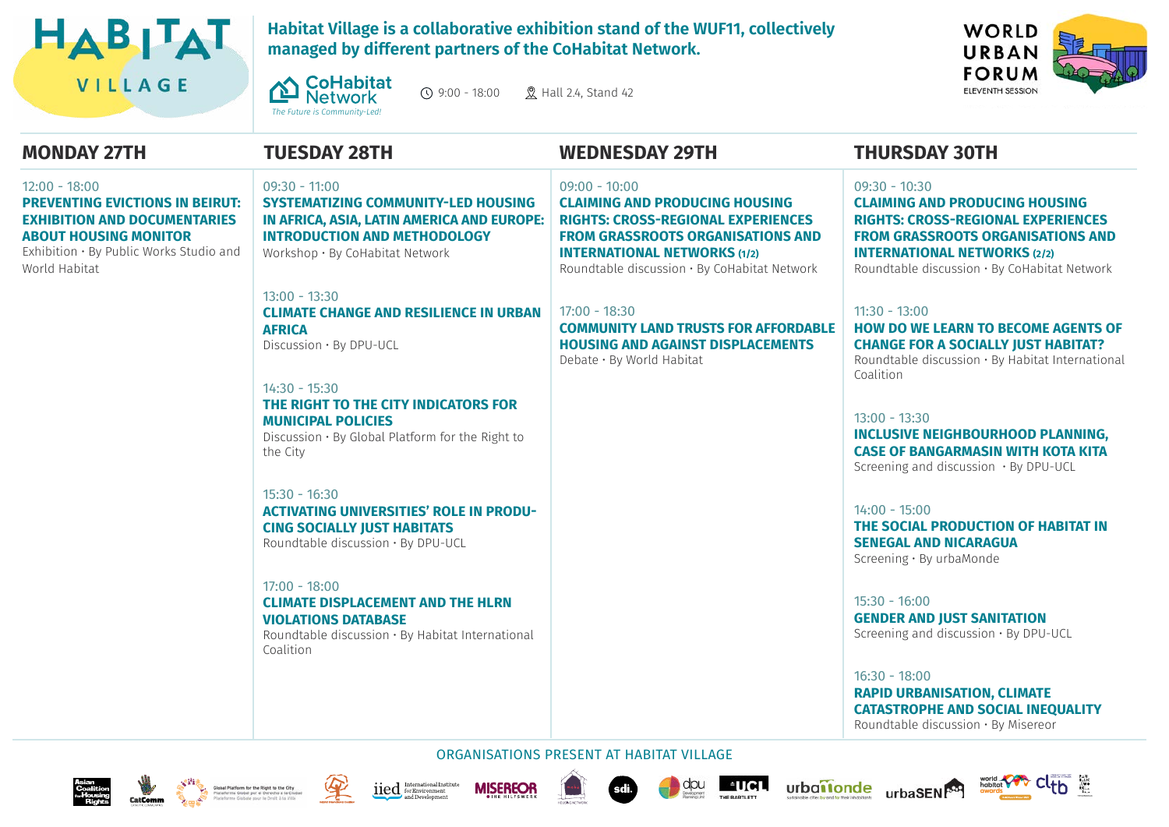

**Habitat Village is a collaborative exhibition stand of the WUF11, collectively managed by different partners of the CoHabitat Network.**

 $\Omega$  9:00 - 18:00  $\Omega$  Hall 24, Stand 42



#### $12:00 - 18:00$ **PREVENTING EVICTIONS IN BEIRUT: EXHIBITION AND DOCUMENTARIES ABOUT HOUSING MONITOR**

Exhibition • By Public Works Studio and World Habitat

## **MONDAY 27TH TUESDAY 28TH**

*[The Future is Community-Led!](https://www.co-habitat.net/)*

**CoHabitat** 

**Network** 

#### 09:30 - 11:00 **SYSTEMATIZING COMMUNITY-LED HOUSING IN AFRICA, ASIA, LATIN AMERICA AND EUROPE: INTRODUCTION AND METHODOLOGY** Workshop • By CoHabitat Network

13:00 - 13:30 **CLIMATE CHANGE AND RESILIENCE IN URBAN AFRICA** Discussion • By DPU-UCL

14:30 - 15:30 **THE RIGHT TO THE CITY INDICATORS FOR MUNICIPAL POLICIES**  Discussion • By Global Platform for the Right to the City

15:30 - 16:30 **ACTIVATING UNIVERSITIES' ROLE IN PRODU-CING SOCIALLY JUST HABITATS** Roundtable discussion • By DPU-UCL

#### $17:00 - 18:00$

## **CLIMATE DISPLACEMENT AND THE HLRN VIOLATIONS DATABASE**

Roundtable discussion • By Habitat International Coalition

#### 09:00 - 10:00

**CLAIMING AND PRODUCING HOUSING RIGHTS: CROSS-REGIONAL EXPERIENCES FROM GRASSROOTS ORGANISATIONS AND INTERNATIONAL NETWORKS (1/2)** Roundtable discussion • By CoHabitat Network

17:00 - 18:30 **COMMUNITY LAND TRUSTS FOR AFFORDABLE HOUSING AND AGAINST DISPLACEMENTS** Debate • By World Habitat

# **WEDNESDAY 29TH THURSDAY 30TH**

### 09:30 - 10:30

**CLAIMING AND PRODUCING HOUSING RIGHTS: CROSS-REGIONAL EXPERIENCES FROM GRASSROOTS ORGANISATIONS AND INTERNATIONAL NETWORKS (2/2)** Roundtable discussion • By CoHabitat Network

11:30 - 13:00

#### **HOW DO WE LEARN TO BECOME AGENTS OF CHANGE FOR A SOCIALLY JUST HABITAT?** Roundtable discussion • By Habitat International

**Coalition** 

## 13:00 - 13:30 **INCLUSIVE NEIGHBOURHOOD PLANNING, CASE OF BANGARMASIN WITH KOTA KITA**

Screening and discussion • By DPU-UCL

14:00 - 15:00 **THE SOCIAL PRODUCTION OF HABITAT IN SENEGAL AND NICARAGUA** Screening • By urbaMonde

15:30 - 16:00 **GENDER AND JUST SANITATION** Screening and discussion • By DPU-UCL

16:30 - 18:00 **RAPID URBANISATION, CLIMATE CATASTROPHE AND SOCIAL INEQUALITY** Roundtable discussion • By Misereor











ORGANISATIONS PRESENT AT HABITAT VILLAGE